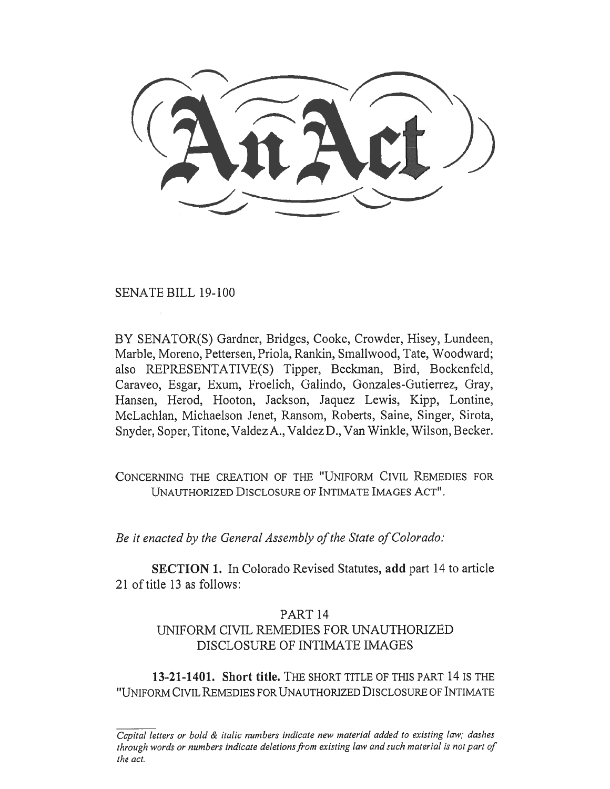SENATE BILL 19-100

BY SENATOR(S) Gardner, Bridges, Cooke, Crowder, Hisey, Lundeen, Marble, Moreno, Pettersen, Priola, Rankin, Smallwood, Tate, Woodward; also REPRESENTATIVE(S) Tipper, Beckman, Bird, Bockenfeld, Caraveo, Esgar, Exum, Froelich, Galindo, Gonzales-Gutierrez, Gray, Hansen, Herod, Hooton, Jackson, Jaquez Lewis, Kipp, Lontine, McLachlan, Michaelson Jenet, Ransom, Roberts, Saine, Singer, Sirota, Snyder, Soper, Titone, Valdez A., Valdez D., Van Winkle, Wilson, Becker.

CONCERNING THE CREATION OF THE "UNIFORM CIVIL REMEDIES FOR UNAUTHORIZED DISCLOSURE OF INTIMATE IMAGES ACT".

*Be it enacted by the General Assembly of the State of Colorado:* 

**SECTION 1.** In Colorado Revised Statutes, **add** part 14 to article 21 of title 13 as follows:

## PART 14

## UNIFORM CIVIL REMEDIES FOR UNAUTHORIZED DISCLOSURE OF INTIMATE IMAGES

**13-21-1401. Short title.** THE SHORT TITLE OF THIS PART 14 IS THE "UNIFORM CIVIL REMEDIES FOR UNAUTHORIZED DISCLOSURE OF INTIMATE

*Capital letters or bold & italic numbers indicate new material added to existing law; dashes through words or numbers indicate deletions from existing law and such material is not part of the act.*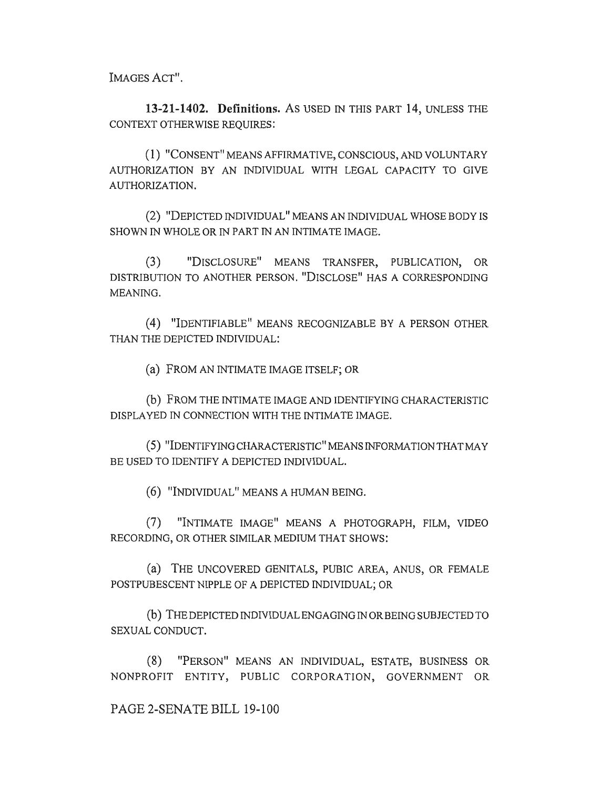IMAGES ACT".

13-21-1402. Definitions. As USED IN THIS PART 14, UNLESS THE CONTEXT OTHERWISE REQUIRES:

(1) "CONSENT" MEANS AFFIRMATIVE, CONSCIOUS, AND VOLUNTARY AUTHORIZATION BY AN INDIVIDUAL WITH LEGAL CAPACITY TO GIVE AUTHORIZATION.

(2) "DEPICTED INDIVIDUAL" MEANS AN INDIVIDUAL WHOSE BODY IS SHOWN IN WHOLE OR IN PART IN AN INTIMATE IMAGE.

(3) "DISCLOSURE" MEANS TRANSFER, PUBLICATION, OR DISTRIBUTION TO ANOTHER PERSON. "DISCLOSE" HAS A CORRESPONDING MEANING.

(4) "IDENTIFIABLE" MEANS RECOGNIZABLE BY A PERSON OTHER THAN THE DEPICTED INDIVIDUAL:

(a) FROM AN INTIMATE IMAGE ITSELF; OR

(b) FROM THE INTIMATE IMAGE AND IDENTIFYING CHARACTERISTIC DISPLAYED IN CONNECTION WITH THE INTIMATE IMAGE.

(5) "IDENTIFYING CHARACTERISTIC" MEANS INFORMATION THAT MAY BE USED TO IDENTIFY A DEPICTED INDIVIDUAL.

(6) "INDIVIDUAL" MEANS A HUMAN BEING.

(7) "INTIMATE IMAGE" MEANS A PHOTOGRAPH, FILM, VIDEO RECORDING, OR OTHER SIMILAR MEDIUM THAT SHOWS:

(a) THE UNCOVERED GENITALS, PUBIC AREA, ANUS, OR FEMALE POSTPUBESCENT NIPPLE OF A DEPICTED INDIVIDUAL; OR

(b) THE DEPICTED INDIVIDUAL ENGAGING IN OR BEING SUBJECTED TO SEXUAL CONDUCT.

(8) "PERSON" MEANS AN INDIVIDUAL, ESTATE, BUSINESS OR NONPROFIT ENTITY, PUBLIC CORPORATION, GOVERNMENT OR

PAGE 2-SENATE BILL 19-100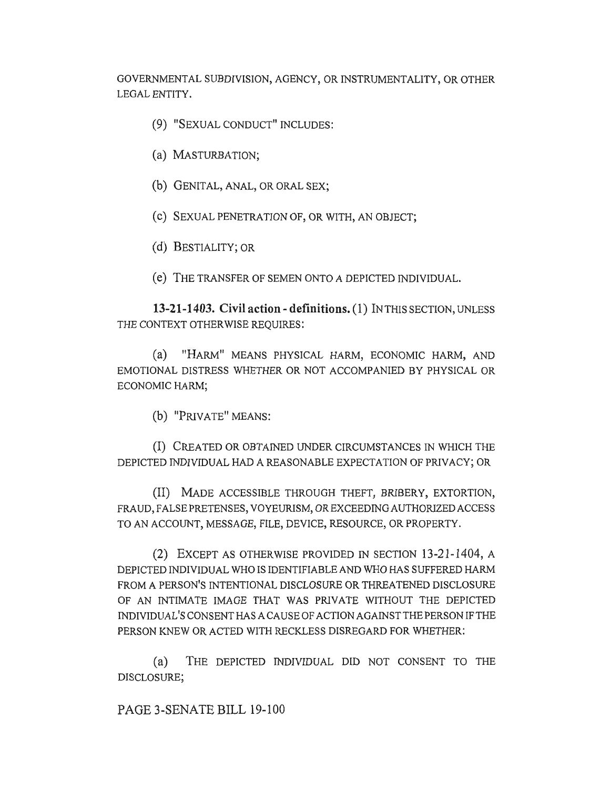GOVERNMENTAL SUBDIVISION, AGENCY, OR INSTRUMENTALITY, OR OTHER LEGAL ENTITY.

- (9) "SEXUAL CONDUCT" INCLUDES:
- (a) MASTURBATION;
- (b) GENITAL, ANAL, OR ORAL SEX;
- (e) SEXUAL PENETRATION OF, OR WITH, AN OBJECT;
- (d) BESTIALITY; OR
- (e) THE TRANSFER OF SEMEN ONTO A DEPICTED INDIVIDUAL.

**13-21-1403. Civil action - definitions.** (1) IN THIS SECTION, UNLESS THE CONTEXT OTHERWISE REQUIRES:

(a) "HARM" MEANS PHYSICAL HARM, ECONOMIC HARM, AND EMOTIONAL DISTRESS WHETHER OR NOT ACCOMPANIED BY PHYSICAL OR ECONOMIC HARM;

(b) "PRIVATE" MEANS:

(I) CREATED OR OBTAINED UNDER CIRCUMSTANCES IN WHICH THE DEPICTED INDIVIDUAL HAD A REASONABLE EXPECTATION OF PRIVACY; OR

(II) MADE ACCESSIBLE THROUGH THEFT, BRIBERY, EXTORTION, FRAUD, FALSE PRETENSES, VOYEURISM, OR EXCEEDING AUTHORIZED ACCESS TO AN ACCOUNT, MESSAGE, FILE, DEVICE, RESOURCE, OR PROPERTY.

(2) EXCEPT AS OTHERWISE PROVIDED IN SECTION 13-21-1404, A DEPICTED INDIVIDUAL WHO IS IDENTIFIABLE AND WHO HAS SUFFERED HARM FROM A PERSON'S INTENTIONAL DISCLOSURE OR THREATENED DISCLOSURE OF AN INTIMATE IMAGE THAT WAS PRIVATE WITHOUT THE DEPICTED INDIVIDUAL'S CONSENT HAS A CAUSE OF ACTION AGAINST THE PERSON IF THE PERSON KNEW OR ACTED WITH RECKLESS DISREGARD FOR WHETHER:

(a) THE DEPICTED INDIVIDUAL DID NOT CONSENT TO THE DISCLOSURE;

PAGE 3-SENATE BILL 19-100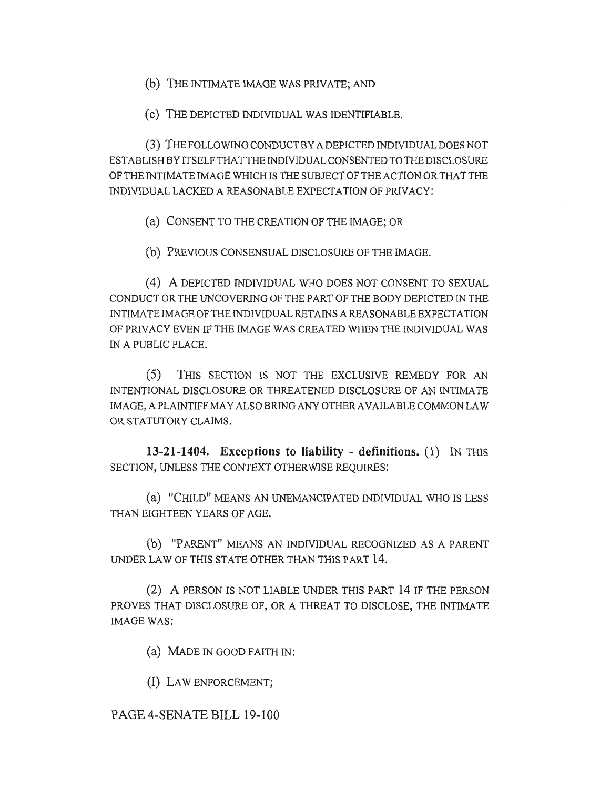(b) THE INTIMATE IMAGE WAS PRIVATE; AND

(c) THE DEPICTED INDIVIDUAL WAS IDENTIFIABLE.

(3) THE FOLLOWING CONDUCT BY A DEPICTED INDIVIDUAL DOES NOT ESTABLISH BY ITSELF THAT THE INDIVIDUAL CONSENTED TO THE DISCLOSURE OF THE INTIMATE IMAGE WHICH IS THE SUBJECT OF THE ACTION OR THAT THE INDIVIDUAL LACKED A REASONABLE EXPECTATION OF PRIVACY:

(a) CONSENT TO THE CREATION OF THE IMAGE; OR

(b) PREVIOUS CONSENSUAL DISCLOSURE OF THE IMAGE.

(4) A DEPICTED INDIVIDUAL WHO DOES NOT CONSENT TO SEXUAL CONDUCT OR THE UNCOVERING OF THE PART OF THE BODY DEPICTED IN THE INTIMATE IMAGE OF THE INDIVIDUAL RETAINS A REASONABLE EXPECTATION OF PRIVACY EVEN IF THE IMAGE WAS CREATED WHEN THE INDIVIDUAL WAS IN A PUBLIC PLACE.

(5) THIS SECTION IS NOT THE EXCLUSIVE REMEDY FOR AN INTENTIONAL DISCLOSURE OR THREATENED DISCLOSURE OF AN INTIMATE IMAGE, A PLAINTIFF MAY ALSO BRING ANY OTHER AVAILABLE COMMON LAW OR STATUTORY CLAIMS.

**13-21-1404. Exceptions to liability - definitions.** (1) IN THIS SECTION, UNLESS THE CONTEXT OTHERWISE REQUIRES:

(a) "CHILD" MEANS AN UNEMANCIPATED INDIVIDUAL WHO IS LESS THAN EIGHTEEN YEARS OF AGE.

(b) "PARENT" MEANS AN INDIVIDUAL RECOGNIZED AS A PARENT UNDER LAW OF THIS STATE OTHER THAN THIS PART 14.

(2) A PERSON IS NOT LIABLE UNDER THIS PART 14 IF THE PERSON PROVES THAT DISCLOSURE OF, OR A THREAT TO DISCLOSE, THE INTIMATE IMAGE WAS:

(a) MADE IN GOOD FAITH IN:

(I) LAW ENFORCEMENT;

PAGE 4-SENATE BILL 19-100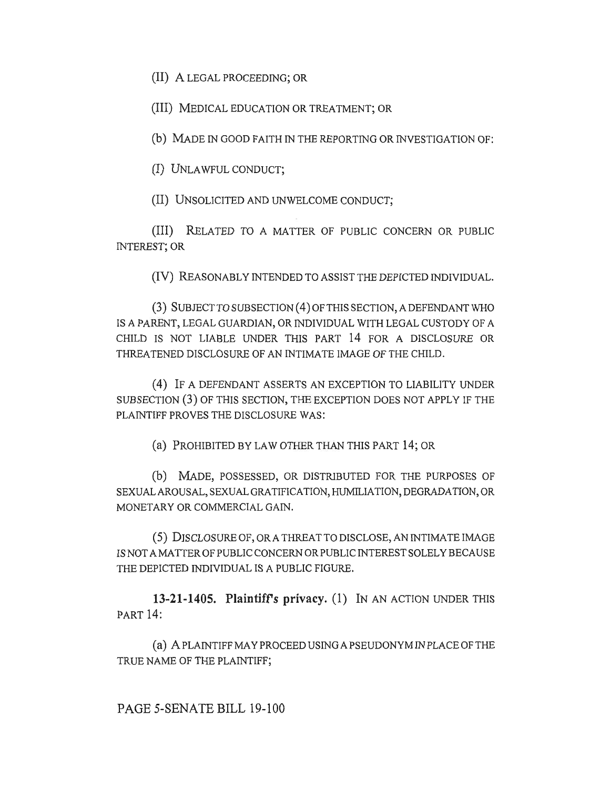(II) A LEGAL PROCEEDING; OR

(III) MEDICAL EDUCATION OR TREATMENT; OR

(b) MADE IN GOOD FAITH IN THE REPORTING OR INVESTIGATION OF:

(I) UNLAWFUL CONDUCT;

(II) UNSOLICITED AND UNWELCOME CONDUCT;

(III) RELATED TO A MATTER OF PUBLIC CONCERN OR PUBLIC INTEREST; OR

(IV) REASONABLY INTENDED TO ASSIST THE DEPICTED INDIVIDUAL.

(3) SUBJECT TO SUBSECTION (4) OF THIS SECTION, A DEFENDANT WHO IS A PARENT, LEGAL GUARDIAN, OR INDIVIDUAL WITH LEGAL CUSTODY OF A CHILD IS NOT LIABLE UNDER THIS PART 14 FOR A DISCLOSURE OR THREATENED DISCLOSURE OF AN INTIMATE IMAGE OF THE CHILD.

(4) IF A DEFENDANT ASSERTS AN EXCEPTION TO LIABILITY UNDER SUBSECTION (3) OF THIS SECTION, THE EXCEPTION DOES NOT APPLY IF THE PLAINTIFF PROVES THE DISCLOSURE WAS:

(a) PROHIBITED BY LAW OTHER THAN THIS PART 14; OR

(b) MADE, POSSESSED, OR DISTRIBUTED FOR THE PURPOSES OF SEXUAL AROUSAL, SEXUAL GRATIFICATION, HUMILIATION, DEGRADATION, OR MONETARY OR COMMERCIAL GAIN.

(5) DISCLOSURE OF, OR A THREAT TO DISCLOSE, AN INTIMATE IMAGE IS NOT A MATTER OF PUBLIC CONCERN OR PUBLIC INTEREST SOLELY BECAUSE THE DEPICTED INDIVIDUAL IS A PUBLIC FIGURE.

**13-21-1405. Plaintiffs privacy.** (1) IN AN ACTION UNDER THIS PART 14:

(a) A PLAINTIFF MAY PROCEED USING A PSEUDONYM IN PLACE OF THE TRUE NAME OF THE PLAINTIFF;

PAGE 5-SENATE BILL 19-100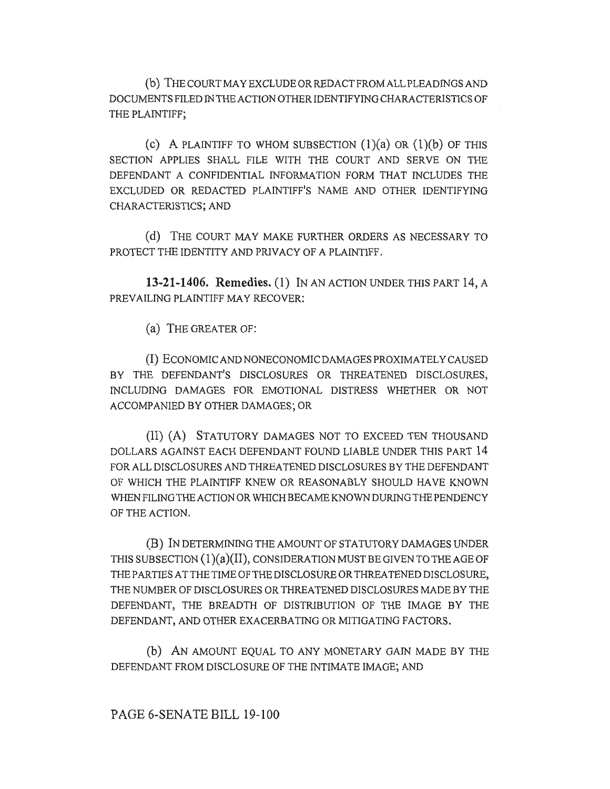(b) THE COURT MAY EXCLUDE OR REDACT FROM ALL PLEADINGS AND DOCUMENTS FILED IN THE ACTION OTHER IDENTIFYING CHARACTERISTICS OF THE PLAINTIFF;

(c) A PLAINTIFF TO WHOM SUBSECTION  $(1)(a)$  OR  $(1)(b)$  OF THIS SECTION APPLIES SHALL FILE WITH THE COURT AND SERVE ON THE DEFENDANT A CONFIDENTIAL INFORMATION FORM THAT INCLUDES THE EXCLUDED OR REDACTED PLAINTIFF'S NAME AND OTHER IDENTIFYING CHARACTERISTICS; AND

(d) THE COURT MAY MAKE FURTHER ORDERS AS NECESSARY TO PROTECT THE IDENTITY AND PRIVACY OF A PLAINTIFF.

**13-21-1406. Remedies. (1)** IN AN ACTION UNDER THIS PART 14, A PREVAILING PLAINTIFF MAY RECOVER:

(a) THE GREATER OF:

(I) ECONOMIC AND NONECONOMIC DAMAGES PROXIMATELY CAUSED BY THE DEFENDANT'S DISCLOSURES OR THREATENED DISCLOSURES, INCLUDING DAMAGES FOR EMOTIONAL DISTRESS WHETHER OR NOT ACCOMPANIED BY OTHER DAMAGES; OR

(II) (A) STATUTORY DAMAGES NOT TO EXCEED TEN THOUSAND DOLLARS AGAINST EACH DEFENDANT FOUND LIABLE UNDER THIS PART 14 FOR ALL DISCLOSURES AND THREATENED DISCLOSURES BY THE DEFENDANT OF WHICH THE PLAINTIFF KNEW OR REASONABLY SHOULD HAVE KNOWN WHEN FILING THE ACTION OR WHICH BECAME KNOWN DURING THE PENDENCY OF THE ACTION.

**(B)** IN DETERMINING THE AMOUNT OF STATUTORY DAMAGES UNDER THIS SUBSECTION (1)(a)(II), CONSIDERATION MUST BE GIVEN TO THE AGE OF THE PARTIES AT THE TIME OF THE DISCLOSURE OR THREATENED DISCLOSURE, THE NUMBER OF DISCLOSURES OR THREATENED DISCLOSURES MADE BY THE DEFENDANT, THE BREADTH OF DISTRIBUTION OF THE IMAGE BY THE DEFENDANT, AND OTHER EXACERBATING OR MITIGATING FACTORS.

(b) AN AMOUNT EQUAL TO ANY MONETARY GAIN MADE BY THE DEFENDANT FROM DISCLOSURE OF THE INTIMATE IMAGE; AND

## PAGE 6-SENATE BILL 19-100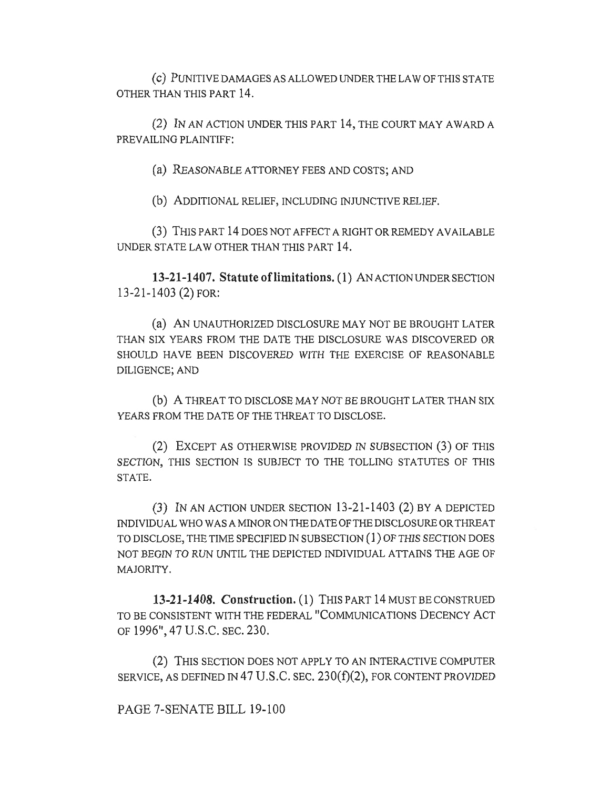(c) PUNITIVE DAMAGES AS ALLOWED UNDER THE LAW OF THIS STATE OTHER THAN THIS PART 14.

(2) IN AN ACTION UNDER THIS PART 14, THE COURT MAY AWARD A PREVAILING PLAINTIFF:

(a) REASONABLE ATTORNEY FEES AND COSTS; AND

(b) ADDITIONAL RELIEF, INCLUDING INJUNCTIVE RELIEF.

(3) THIS PART 14 DOES NOT AFFECT A RIGHT OR REMEDY AVAILABLE UNDER STATE LAW OTHER THAN THIS PART 14.

**13-21-1407. Statute of limitations. (1)** AN ACTION UNDER SECTION 13-21-1403 (2) FOR:

(a) AN UNAUTHORIZED DISCLOSURE MAY NOT BE BROUGHT LATER THAN SIX YEARS FROM THE DATE THE DISCLOSURE WAS DISCOVERED OR SHOULD HAVE BEEN DISCOVERED WITH THE EXERCISE OF REASONABLE DILIGENCE; AND

(b) A THREAT TO DISCLOSE MAY NOT BE BROUGHT LATER THAN SIX YEARS FROM THE DATE OF THE THREAT TO DISCLOSE.

(2) EXCEPT AS OTHERWISE PROVIDED IN SUBSECTION (3) OF THIS SECTION, THIS SECTION IS SUBJECT TO THE TOLLING STATUTES OF THIS STATE.

(3) IN AN ACTION UNDER SECTION 13-21-1403 (2) BY A DEPICTED INDIVIDUAL WHO WAS A MINOR ON THE DATE OF THE DISCLOSURE OR THREAT TO DISCLOSE, THE TIME SPECIFIED IN SUBSECTION (1) OF THIS SECTION DOES NOT BEGIN TO RUN UNTIL THE DEPICTED INDIVIDUAL ATTAINS THE AGE OF MAJORITY.

**13-21-1408. Construction.** (1) THIS PART 14 MUST BE CONSTRUED TO BE CONSISTENT WITH THE FEDERAL "COMMUNICATIONS DECENCY ACT OF 1996", 47 U.S.C. SEC. 230.

(2) THIS SECTION DOES NOT APPLY TO AN INTERACTIVE COMPUTER SERVICE, AS DEFINED IN 47 U.S.C. SEC.  $230(f)(2)$ , FOR CONTENT PROVIDED

PAGE 7-SENATE BILL 19-100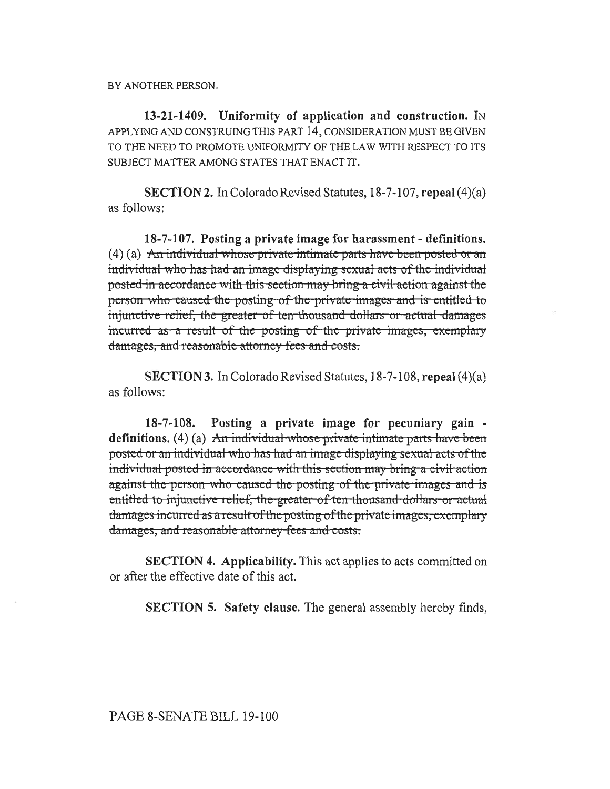BY ANOTHER PERSON.

13-21-1409. Uniformity of application and construction. IN APPLYING AND CONSTRUING THIS PART 14, CONSIDERATION MUST BE GIVEN TO THE NEED TO PROMOTE UNIFORMITY OF THE LAW WITH RESPECT TO ITS SUBJECT MATTER AMONG STATES THAT ENACT IT.

**SECTION 2.** In Colorado Revised Statutes, 18-7-107, repeal (4)(a) as follows:

18-7-107. Posting a private image for harassment - definitions.  $(4)$  (a) An individual whose private intimate parts have been posted or an individual who has had an image displaying sexual acts of the individual posted in accordance with this section may bring a civil action against the person who caused the posting of the private images and is entitled to injunctive relief, the greater of ten thousand dollars or actual damages incurred as a result of the posting of the private images, exemplary damages, and reasonable attorney fees and costs.

**SECTION 3.** In Colorado Revised Statutes,  $18-7-108$ , repeal  $(4)(a)$ as follows:

 $18 - 7 - 108.$ Posting a private image for pecuniary gain definitions.  $(4)$  (a) An individual whose private intimate parts have been posted or an individual who has had an image displaying sexual acts of the individual posted in accordance with this section may bring a civil action against the person who caused the posting of the private images and is entitled to injunctive relief, the greater of ten thousand dollars or actual damages incurred as a result of the posting of the private images, exemplary damages, and reasonable attorney fees and costs.

**SECTION 4. Applicability.** This act applies to acts committed on or after the effective date of this act.

**SECTION 5.** Safety clause. The general assembly hereby finds,

PAGE 8-SENATE BILL 19-100